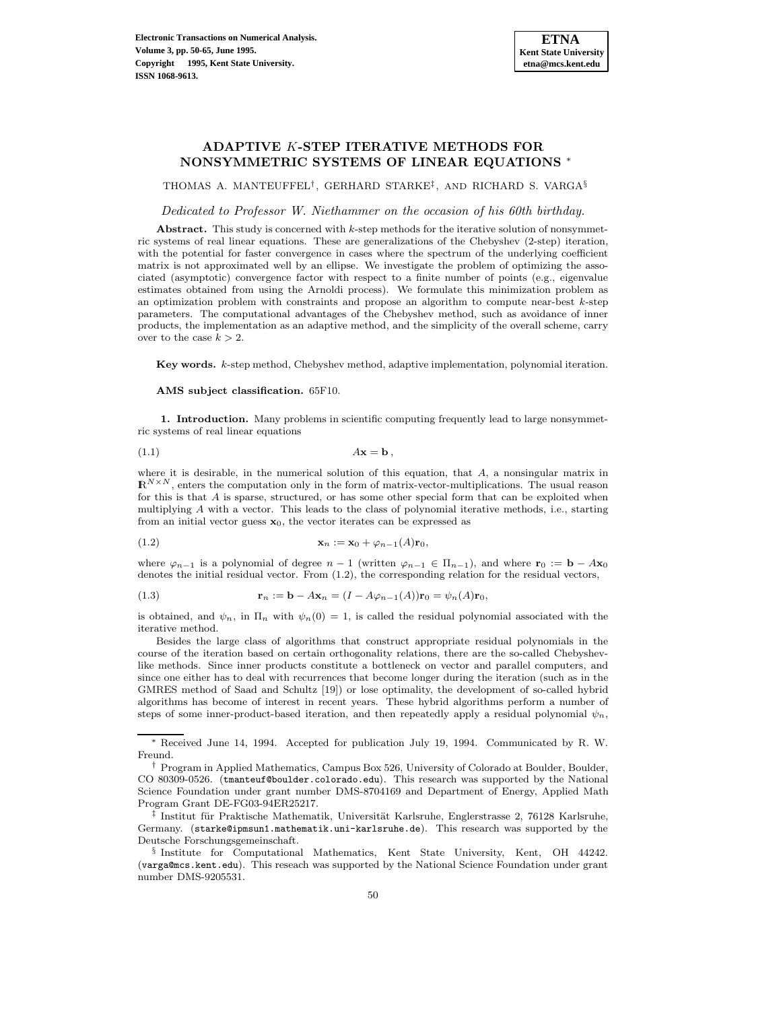# **ADAPTIVE** K**-STEP ITERATIVE METHODS FOR NONSYMMETRIC SYSTEMS OF LINEAR EQUATIONS** <sup>∗</sup>

THOMAS A. MANTEUFFEL†, GERHARD STARKE‡, AND RICHARD S. VARGA§

Dedicated to Professor W. Niethammer on the occasion of his 60th birthday.

Abstract. This study is concerned with k-step methods for the iterative solution of nonsymmetric systems of real linear equations. These are generalizations of the Chebyshev (2-step) iteration, with the potential for faster convergence in cases where the spectrum of the underlying coefficient matrix is not approximated well by an ellipse. We investigate the problem of optimizing the associated (asymptotic) convergence factor with respect to a finite number of points (e.g., eigenvalue estimates obtained from using the Arnoldi process). We formulate this minimization problem as an optimization problem with constraints and propose an algorithm to compute near-best  $k$ -step parameters. The computational advantages of the Chebyshev method, such as avoidance of inner products, the implementation as an adaptive method, and the simplicity of the overall scheme, carry over to the case  $k > 2$ .

**Key words.** k-step method, Chebyshev method, adaptive implementation, polynomial iteration.

**AMS subject classification.** 65F10.

**1. Introduction.** Many problems in scientific computing frequently lead to large nonsymmetric systems of real linear equations

$$
A\mathbf{x} = \mathbf{b} \,,
$$

where it is desirable, in the numerical solution of this equation, that  $A$ , a nonsingular matrix in  $\mathbb{R}^{N\times N}$ , enters the computation only in the form of matrix-vector-multiplications. The usual reason for this is that  $A$  is sparse, structured, or has some other special form that can be exploited when multiplying A with a vector. This leads to the class of polynomial iterative methods, i.e., starting from an initial vector guess  $\mathbf{x}_0$ , the vector iterates can be expressed as

$$
\mathbf{x}_n := \mathbf{x}_0 + \varphi_{n-1}(A)\mathbf{r}_0,
$$

where  $\varphi_{n-1}$  is a polynomial of degree  $n-1$  (written  $\varphi_{n-1} \in \Pi_{n-1}$ ), and where  $\mathbf{r}_0 := \mathbf{b} - A\mathbf{x}_0$ denotes the initial residual vector. From (1.2), the corresponding relation for the residual vectors,

(1.3) 
$$
\mathbf{r}_n := \mathbf{b} - A\mathbf{x}_n = (I - A\varphi_{n-1}(A))\mathbf{r}_0 = \psi_n(A)\mathbf{r}_0,
$$

is obtained, and  $\psi_n$ , in  $\Pi_n$  with  $\psi_n(0) = 1$ , is called the residual polynomial associated with the iterative method.

Besides the large class of algorithms that construct appropriate residual polynomials in the course of the iteration based on certain orthogonality relations, there are the so-called Chebyshevlike methods. Since inner products constitute a bottleneck on vector and parallel computers, and since one either has to deal with recurrences that become longer during the iteration (such as in the GMRES method of Saad and Schultz [19]) or lose optimality, the development of so-called hybrid algorithms has become of interest in recent years. These hybrid algorithms perform a number of steps of some inner-product-based iteration, and then repeatedly apply a residual polynomial  $\psi_n$ ,

<sup>∗</sup> Received June 14, 1994. Accepted for publication July 19, 1994. Communicated by R. W. Freund.

<sup>†</sup> Program in Applied Mathematics, Campus Box 526, University of Colorado at Boulder, Boulder, CO 80309-0526. (tmanteuf@boulder.colorado.edu). This research was supported by the National Science Foundation under grant number DMS-8704169 and Department of Energy, Applied Math Program Grant DE-FG03-94ER25217.

<sup>&</sup>lt;sup>‡</sup> Institut für Praktische Mathematik, Universität Karlsruhe, Englerstrasse 2, 76128 Karlsruhe, Germany. (starke@ipmsun1.mathematik.uni-karlsruhe.de). This research was supported by the Deutsche Forschungsgemeinschaft.

<sup>§</sup> Institute for Computational Mathematics, Kent State University, Kent, OH 44242. (varga@mcs.kent.edu). This reseach was supported by the National Science Foundation under grant number DMS-9205531.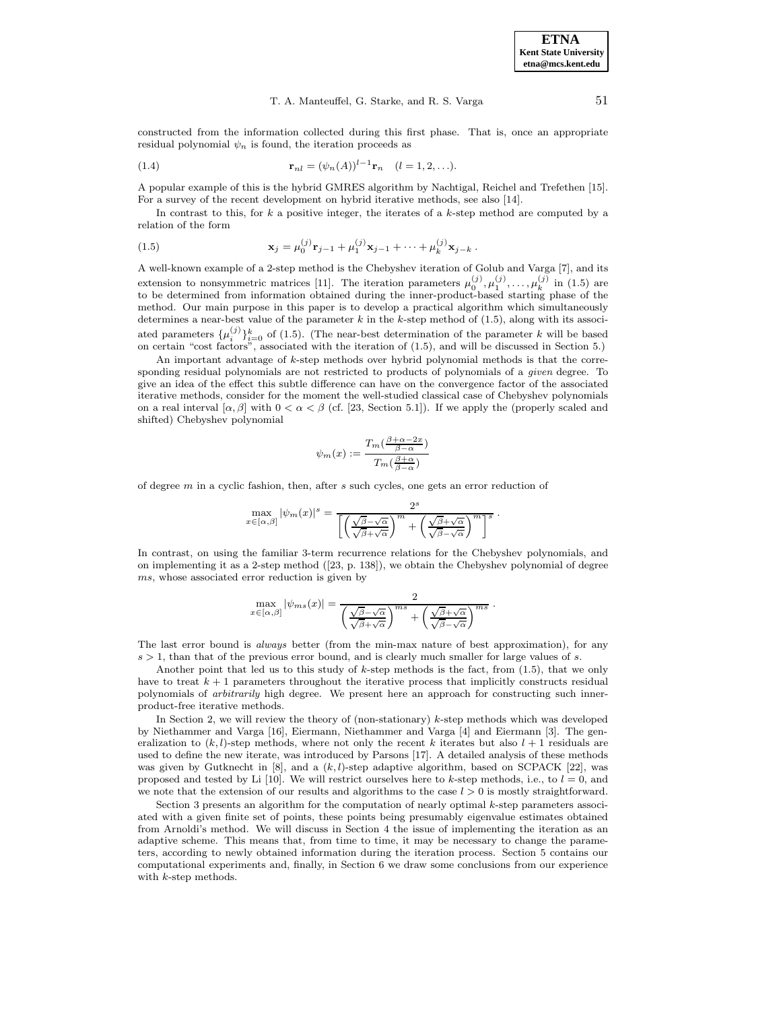constructed from the information collected during this first phase. That is, once an appropriate residual polynomial  $\psi_n$  is found, the iteration proceeds as

(1.4) 
$$
\mathbf{r}_{nl} = (\psi_n(A))^{l-1} \mathbf{r}_n \quad (l = 1, 2, ...).
$$

A popular example of this is the hybrid GMRES algorithm by Nachtigal, Reichel and Trefethen [15]. For a survey of the recent development on hybrid iterative methods, see also [14].

In contrast to this, for  $k$  a positive integer, the iterates of a  $k$ -step method are computed by a relation of the form

(1.5) 
$$
\mathbf{x}_{j} = \mu_{0}^{(j)} \mathbf{r}_{j-1} + \mu_{1}^{(j)} \mathbf{x}_{j-1} + \cdots + \mu_{k}^{(j)} \mathbf{x}_{j-k}.
$$

A well-known example of a 2-step method is the Chebyshev iteration of Golub and Varga [7], and its extension to nonsymmetric matrices [11]. The iteration parameters  $\mu_0^{(j)}$ ,  $\mu_1^{(j)}$ , ...,  $\mu_k^{(j)}$  in (1.5) are to be determined from information obtained during the inner-product-based starting phase of the method. Our main purpose in this paper is to develop a practical algorithm which simultaneously determines a near-best value of the parameter  $k$  in the  $k$ -step method of (1.5), along with its associated parameters  $\{\mu_i^{(j)}\}_{i=0}^k$  of (1.5). (The near-best determination of the parameter k will be based<br>on certain "cost factors", associated with the iteration of (1.5), and will be discussed in Section 5.)

An important advantage of k-step methods over hybrid polynomial methods is that the corresponding residual polynomials are not restricted to products of polynomials of a given degree. To give an idea of the effect this subtle difference can have on the convergence factor of the associated iterative methods, consider for the moment the well-studied classical case of Chebyshev polynomials on a real interval  $[\alpha, \beta]$  with  $0 < \alpha < \beta$  (cf. [23, Section 5.1]). If we apply the (properly scaled and shifted) Chebyshev polynomial

$$
\psi_m(x) := \frac{T_m\left(\frac{\beta + \alpha - 2x}{\beta - \alpha}\right)}{T_m\left(\frac{\beta + \alpha}{\beta - \alpha}\right)}
$$

of degree  $m$  in a cyclic fashion, then, after  $s$  such cycles, one gets an error reduction of

$$
\max_{x \in [\alpha,\beta]} |\psi_m(x)|^s = \frac{2^s}{\left[ \left( \frac{\sqrt{\beta} - \sqrt{\alpha}}{\sqrt{\beta} + \sqrt{\alpha}} \right)^m + \left( \frac{\sqrt{\beta} + \sqrt{\alpha}}{\sqrt{\beta} - \sqrt{\alpha}} \right)^m \right]^s}.
$$

In contrast, on using the familiar 3-term recurrence relations for the Chebyshev polynomials, and on implementing it as a 2-step method ([23, p. 138]), we obtain the Chebyshev polynomial of degree ms, whose associated error reduction is given by

$$
\max_{x \in [\alpha,\beta]} |\psi_{ms}(x)| = \frac{2}{\left(\frac{\sqrt{\beta} - \sqrt{\alpha}}{\sqrt{\beta} + \sqrt{\alpha}}\right)^{ms} + \left(\frac{\sqrt{\beta} + \sqrt{\alpha}}{\sqrt{\beta} - \sqrt{\alpha}}\right)^{ms}}.
$$

The last error bound is *always* better (from the min-max nature of best approximation), for any  $s > 1$ , than that of the previous error bound, and is clearly much smaller for large values of s.

Another point that led us to this study of  $k$ -step methods is the fact, from  $(1.5)$ , that we only have to treat  $k+1$  parameters throughout the iterative process that implicitly constructs residual polynomials of arbitrarily high degree. We present here an approach for constructing such innerproduct-free iterative methods.

In Section 2, we will review the theory of (non-stationary) k-step methods which was developed by Niethammer and Varga [16], Eiermann, Niethammer and Varga [4] and Eiermann [3]. The generalization to  $(k, l)$ -step methods, where not only the recent k iterates but also  $l + 1$  residuals are used to define the new iterate, was introduced by Parsons [17]. A detailed analysis of these methods was given by Gutknecht in [8], and a  $(k, l)$ -step adaptive algorithm, based on SCPACK [22], was proposed and tested by Li [10]. We will restrict ourselves here to k-step methods, i.e., to  $l = 0$ , and we note that the extension of our results and algorithms to the case  $l > 0$  is mostly straightforward.

Section 3 presents an algorithm for the computation of nearly optimal k-step parameters associated with a given finite set of points, these points being presumably eigenvalue estimates obtained from Arnoldi's method. We will discuss in Section 4 the issue of implementing the iteration as an adaptive scheme. This means that, from time to time, it may be necessary to change the parameters, according to newly obtained information during the iteration process. Section 5 contains our computational experiments and, finally, in Section 6 we draw some conclusions from our experience with k-step methods.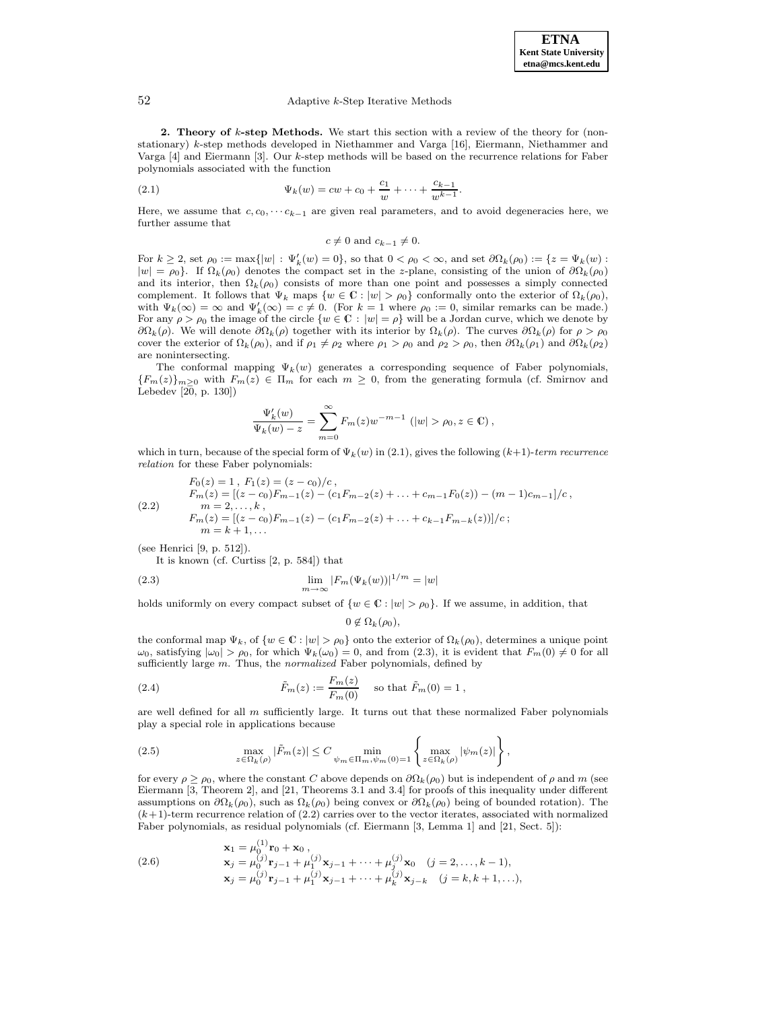#### 52 Adaptive k-Step Iterative Methods

**2. Theory of** k**-step Methods.** We start this section with a review of the theory for (nonstationary) k-step methods developed in Niethammer and Varga [16], Eiermann, Niethammer and Varga [4] and Eiermann [3]. Our k-step methods will be based on the recurrence relations for Faber polynomials associated with the function

(2.1) 
$$
\Psi_k(w) = cw + c_0 + \frac{c_1}{w} + \dots + \frac{c_{k-1}}{w^{k-1}}.
$$

Here, we assume that  $c, c_0, \cdots c_{k-1}$  are given real parameters, and to avoid degeneracies here, we further assume that

$$
c \neq 0 \text{ and } c_{k-1} \neq 0.
$$

For  $k \geq 2$ , set  $\rho_0 := \max\{|w| : \Psi'_k(w) = 0\}$ , so that  $0 < \rho_0 < \infty$ , and set  $\partial\Omega_k(\rho_0) := \{z = \Psi_k(w) :$  $|w| = \rho_0$ . If  $\Omega_k(\rho_0)$  denotes the compact set in the z-plane, consisting of the union of  $\partial \Omega_k(\rho_0)$ and its interior, then  $\Omega_k(\rho_0)$  consists of more than one point and possesses a simply connected complement. It follows that  $\Psi_k$  maps  $\{w \in \mathbb{C} : |w| > \rho_0\}$  conformally onto the exterior of  $\Omega_k(\rho_0)$ , with  $\Psi_k(\infty) = \infty$  and  $\Psi'_k(\infty) = c \neq 0$ . (For  $k = 1$  where  $\rho_0 := 0$ , similar remarks can be made.) For any  $\rho > \rho_0$  the image of the circle  $\{w \in \mathbb{C} : |w| = \rho\}$  will be a Jordan curve, which we denote by  $\partial\Omega_k(\rho)$ . We will denote  $\partial\Omega_k(\rho)$  together with its interior by  $\Omega_k(\rho)$ . The curves  $\partial\Omega_k(\rho)$  for  $\rho > \rho_0$ cover the exterior of  $\Omega_k(\rho_0)$ , and if  $\rho_1 \neq \rho_2$  where  $\rho_1 > \rho_0$  and  $\rho_2 > \rho_0$ , then  $\partial \Omega_k(\rho_1)$  and  $\partial \Omega_k(\rho_2)$ are nonintersecting.

The conformal mapping  $\Psi_k(w)$  generates a corresponding sequence of Faber polynomials,  ${F_m(z)}_{m>0}$  with  $F_m(z) \in \Pi_m$  for each  $m \geq 0$ , from the generating formula (cf. Smirnov and Lebedev  $[2\overline{0}, p. 130]$ 

$$
\frac{\Psi_k'(w)}{\Psi_k(w)-z}=\sum_{m=0}^\infty F_m(z)w^{-m-1}\,\left(|w|>\rho_0,z\in\mathbb{C}\right),
$$

which in turn, because of the special form of  $\Psi_k(w)$  in (2.1), gives the following  $(k+1)$ -term recurrence relation for these Faber polynomials:

$$
F_0(z) = 1, F_1(z) = (z - c_0)/c,
$$
  
\n
$$
F_m(z) = [(z - c_0)F_{m-1}(z) - (c_1F_{m-2}(z) + \dots + c_{m-1}F_0(z)) - (m-1)c_{m-1}]/c,
$$
  
\n(2.2) 
$$
m = 2, ..., k,
$$
  
\n
$$
F_m(z) = [(z - c_0)F_{m-1}(z) - (c_1F_{m-2}(z) + \dots + c_{k-1}F_{m-k}(z))] / c;
$$
  
\n
$$
m = k + 1, ...
$$

(see Henrici [9, p. 512]).

It is known (cf. Curtiss [2, p. 584]) that

(2.3) 
$$
\lim_{m \to \infty} |F_m(\Psi_k(w))|^{1/m} = |w|
$$

holds uniformly on every compact subset of  $\{w \in \mathbb{C} : |w| > \rho_0\}$ . If we assume, in addition, that

# $0 \notin \Omega_k(\rho_0),$

the conformal map  $\Psi_k$ , of  $\{w \in \mathbb{C} : |w| > \rho_0\}$  onto the exterior of  $\Omega_k(\rho_0)$ , determines a unique point  $\omega_0$ , satisfying  $|\omega_0| > \rho_0$ , for which  $\Psi_k(\omega_0) = 0$ , and from (2.3), it is evident that  $F_m(0) \neq 0$  for all sufficiently large m. Thus, the normalized Faber polynomials, defined by

(2.4) 
$$
\tilde{F}_m(z) := \frac{F_m(z)}{F_m(0)} \text{ so that } \tilde{F}_m(0) = 1 ,
$$

are well defined for all  $m$  sufficiently large. It turns out that these normalized Faber polynomials play a special role in applications because

(2.5) 
$$
\max_{z \in \Omega_k(\rho)} |\tilde{F}_m(z)| \leq C \min_{\psi_m \in \Pi_m, \psi_m(0)=1} \left\{ \max_{z \in \Omega_k(\rho)} |\psi_m(z)| \right\},
$$

for every  $\rho \ge \rho_0$ , where the constant C above depends on  $\partial \Omega_k(\rho_0)$  but is independent of  $\rho$  and m (see Eiermann [3, Theorem 2], and [21, Theorems 3.1 and 3.4] for proofs of this inequality under different assumptions on  $\partial\Omega_k(\rho_0)$ , such as  $\Omega_k(\rho_0)$  being convex or  $\partial\Omega_k(\rho_0)$  being of bounded rotation). The  $(k+1)$ -term recurrence relation of  $(2.2)$  carries over to the vector iterates, associated with normalized Faber polynomials, as residual polynomials (cf. Eiermann [3, Lemma 1] and [21, Sect. 5]):

(2.6) 
$$
\mathbf{x}_1 = \mu_0^{(1)} \mathbf{r}_0 + \mathbf{x}_0, \n\mathbf{x}_j = \mu_0^{(j)} \mathbf{r}_{j-1} + \mu_1^{(j)} \mathbf{x}_{j-1} + \cdots + \mu_j^{(j)} \mathbf{x}_0 \quad (j = 2, \ldots, k-1), \n\mathbf{x}_j = \mu_0^{(j)} \mathbf{r}_{j-1} + \mu_1^{(j)} \mathbf{x}_{j-1} + \cdots + \mu_k^{(j)} \mathbf{x}_{j-k} \quad (j = k, k+1, \ldots),
$$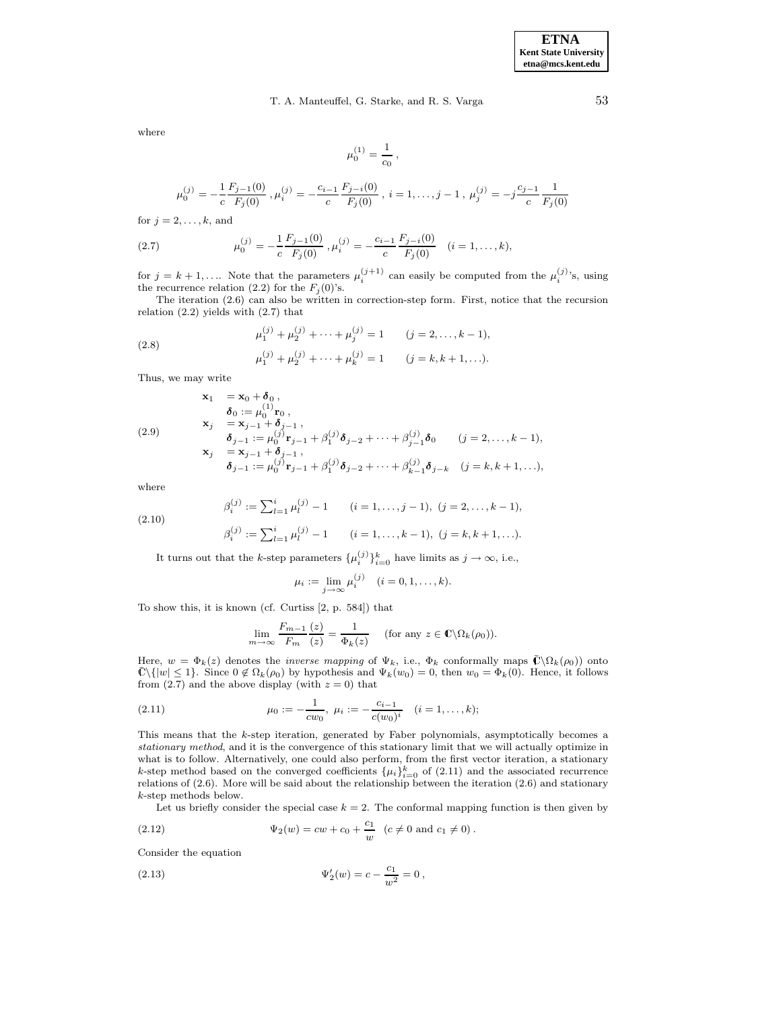# T. A. Manteuffel, G. Starke, and R. S. Varga 53

where

$$
\mu_0^{(1)} = \frac{1}{c_0} \, , \qquad
$$

$$
\mu_0^{(j)} = -\frac{1}{c} \frac{F_{j-1}(0)}{F_j(0)}, \mu_i^{(j)} = -\frac{c_{i-1}}{c} \frac{F_{j-i}(0)}{F_j(0)}, i = 1, \ldots, j-1, \mu_j^{(j)} = -j \frac{c_{j-1}}{c} \frac{1}{F_j(0)}
$$

for  $j = 2, \ldots, k$ , and

(2.7) 
$$
\mu_0^{(j)} = -\frac{1}{c} \frac{F_{j-1}(0)}{F_j(0)}, \mu_i^{(j)} = -\frac{c_{i-1}}{c} \frac{F_{j-i}(0)}{F_j(0)} \quad (i = 1, ..., k),
$$

for  $j = k + 1, \ldots$  Note that the parameters  $\mu_i^{(j+1)}$  can easily be computed from the  $\mu_i^{(j)}$ 's, using the recurrence relation (2.2) for the  $F_i(0)$ 's.

The iteration (2.6) can also be written in correction-step form. First, notice that the recursion relation  $(2.2)$  yields with  $(2.7)$  that

(2.8) 
$$
\mu_1^{(j)} + \mu_2^{(j)} + \dots + \mu_j^{(j)} = 1 \qquad (j = 2, \dots, k - 1),
$$

$$
\mu_1^{(j)} + \mu_2^{(j)} + \dots + \mu_k^{(j)} = 1 \qquad (j = k, k + 1, \dots).
$$

Thus, we may write

(2.9)  
\n
$$
\begin{aligned}\n\mathbf{x}_1 &= \mathbf{x}_0 + \delta_0, \\
\delta_0 &:= \mu_0^{(1)} \mathbf{r}_0, \\
\mathbf{x}_j &= \mathbf{x}_{j-1} + \delta_{j-1}, \\
\delta_{j-1} &:= \mu_0^{(j)} \mathbf{r}_{j-1} + \beta_1^{(j)} \delta_{j-2} + \dots + \beta_{j-1}^{(j)} \delta_0 \qquad (j = 2, \dots, k-1), \\
\mathbf{x}_j &= \mathbf{x}_{j-1} + \delta_{j-1}, \\
\delta_{j-1} &:= \mu_0^{(j)} \mathbf{r}_{j-1} + \beta_1^{(j)} \delta_{j-2} + \dots + \beta_{k-1}^{(j)} \delta_{j-k} \quad (j = k, k+1, \dots),\n\end{aligned}
$$

where

(2.10) 
$$
\beta_i^{(j)} := \sum_{l=1}^i \mu_l^{(j)} - 1 \qquad (i = 1, ..., j - 1), \ (j = 2, ..., k - 1),
$$

$$
\beta_i^{(j)} := \sum_{l=1}^i \mu_l^{(j)} - 1 \qquad (i = 1, ..., k - 1), \ (j = k, k + 1, ...).
$$

It turns out that the *k*-step parameters  $\{\mu_i^{(j)}\}_{i=0}^k$  have limits as  $j \to \infty$ , i.e.,

$$
\mu_i := \lim_{j \to \infty} \mu_i^{(j)} \quad (i = 0, 1, \dots, k).
$$

To show this, it is known (cf. Curtiss [2, p. 584]) that

$$
\lim_{m \to \infty} \frac{F_{m-1}(z)}{F_m(z)} = \frac{1}{\Phi_k(z)} \quad \text{(for any } z \in \mathbb{C} \setminus \Omega_k(\rho_0)).
$$

Here,  $w = \Phi_k(z)$  denotes the *inverse mapping* of  $\Psi_k$ , i.e.,  $\Phi_k$  conformally maps  $\overline{C}\setminus\Omega_k(\rho_0)$  onto  $\bar{\mathbb{C}}\setminus\{|w| \leq 1\}$ . Since  $0 \notin \Omega_k(\rho_0)$  by hypothesis and  $\Psi_k(w_0) = 0$ , then  $w_0 = \Phi_k(0)$ . Hence, it follows from  $(2.7)$  and the above display (with  $z = 0$ ) that

(2.11) 
$$
\mu_0 := -\frac{1}{cw_0}, \ \mu_i := -\frac{c_{i-1}}{c(w_0)^i} \quad (i = 1, ..., k);
$$

This means that the k-step iteration, generated by Faber polynomials, asymptotically becomes a stationary method, and it is the convergence of this stationary limit that we will actually optimize in what is to follow. Alternatively, one could also perform, from the first vector iteration, a stationary k-step method based on the converged coefficients  $\{\mu_i\}_{i=0}^k$  of (2.11) and the associated recurrence relations of (2.6). More will be said about the relationship between the iteration (2.6) and stationary k-step methods below.

Let us briefly consider the special case  $k = 2$ . The conformal mapping function is then given by

(2.12) 
$$
\Psi_2(w) = cw + c_0 + \frac{c_1}{w} \quad (c \neq 0 \text{ and } c_1 \neq 0).
$$

Consider the equation

(2.13) 
$$
\Psi_2'(w) = c - \frac{c_1}{w^2} = 0,
$$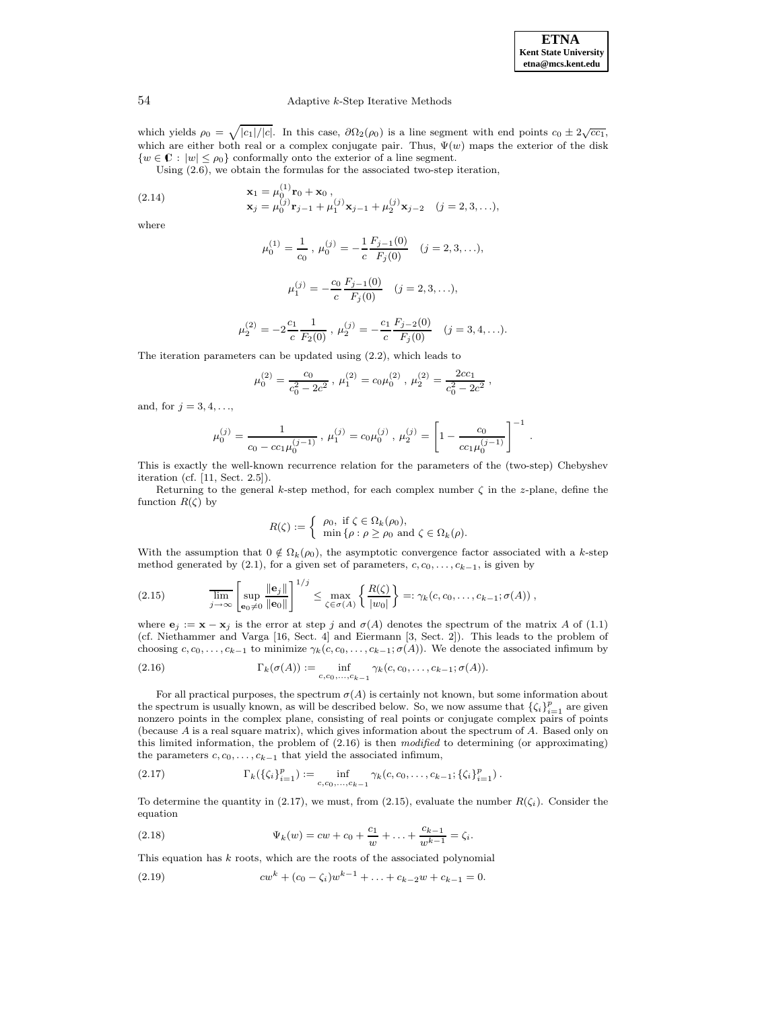.

# 54 Adaptive k-Step Iterative Methods

which yields  $\rho_0 = \sqrt{|c_1|/|c|}$ . In this case,  $\partial \Omega_2(\rho_0)$  is a line segment with end points  $c_0 \pm 2\sqrt{cc_1}$ , which are either both real or a complex conjugate pair. Thus,  $\Psi(w)$  maps the exterior of the disk  $\{w \in \mathbb{C} : |w| \leq \rho_0\}$  conformally onto the exterior of a line segment.

Using (2.6), we obtain the formulas for the associated two-step iteration,

(2.14) 
$$
\mathbf{x}_1 = \mu_0^{(1)} \mathbf{r}_0 + \mathbf{x}_0 ,
$$

$$
\mathbf{x}_j = \mu_0^{(j)} \mathbf{r}_{j-1} + \mu_1^{(j)} \mathbf{x}_{j-1} + \mu_2^{(j)} \mathbf{x}_{j-2} \quad (j = 2, 3, ...),
$$

where

$$
\mu_0^{(1)} = \frac{1}{c_0}, \ \mu_0^{(j)} = -\frac{1}{c} \frac{F_{j-1}(0)}{F_j(0)} \quad (j = 2, 3, \ldots),
$$

$$
\mu_1^{(j)} = -\frac{c_0}{c} \frac{F_{j-1}(0)}{F_j(0)} \quad (j = 2, 3, \ldots),
$$

$$
\mu_2^{(2)} = -2\frac{c_1}{c} \frac{1}{F_2(0)}, \ \mu_2^{(j)} = -\frac{c_1}{c} \frac{F_{j-2}(0)}{F_j(0)} \quad (j = 3, 4, \ldots).
$$

The iteration parameters can be updated using (2.2), which leads to

$$
\mu_0^{(2)} = \frac{c_0}{c_0^2 - 2c^2}, \ \mu_1^{(2)} = c_0 \mu_0^{(2)}, \ \mu_2^{(2)} = \frac{2cc_1}{c_0^2 - 2c^2},
$$

and, for  $j = 3, 4, \ldots$ ,

$$
\mu_0^{(j)} = \frac{1}{c_0 - cc_1\mu_0^{(j-1)}}, \ \mu_1^{(j)} = c_0\mu_0^{(j)}, \ \mu_2^{(j)} = \left[1 - \frac{c_0}{cc_1\mu_0^{(j-1)}}\right]^{-1}
$$

This is exactly the well-known recurrence relation for the parameters of the (two-step) Chebyshev iteration (cf. [11, Sect. 2.5]).

Returning to the general k-step method, for each complex number  $\zeta$  in the z-plane, define the function  $R(\zeta)$  by

$$
R(\zeta) := \begin{cases} \rho_0, \text{ if } \zeta \in \Omega_k(\rho_0), \\ \min \{ \rho : \rho \ge \rho_0 \text{ and } \zeta \in \Omega_k(\rho). \end{cases}
$$

With the assumption that  $0 \notin \Omega_k(\rho_0)$ , the asymptotic convergence factor associated with a k-step method generated by (2.1), for a given set of parameters,  $c, c_0, \ldots, c_{k-1}$ , is given by

$$
(2.15) \qquad \qquad \overline{\lim_{j \to \infty}} \left[ \sup_{\mathbf{e}_0 \neq 0} \frac{\|\mathbf{e}_j\|}{\|\mathbf{e}_0\|} \right]^{1/j} \leq \max_{\zeta \in \sigma(A)} \left\{ \frac{R(\zeta)}{|w_0|} \right\} =: \gamma_k(c, c_0, \dots, c_{k-1}; \sigma(A)),
$$

where  $\mathbf{e}_j := \mathbf{x} - \mathbf{x}_j$  is the error at step j and  $\sigma(A)$  denotes the spectrum of the matrix A of (1.1) (cf. Niethammer and Varga [16, Sect. 4] and Eiermann [3, Sect. 2]). This leads to the problem of choosing  $c, c_0, \ldots, c_{k-1}$  to minimize  $\gamma_k(c, c_0, \ldots, c_{k-1}; \sigma(A))$ . We denote the associated infimum by

(2.16) 
$$
\Gamma_k(\sigma(A)) := \inf_{c, c_0, ..., c_{k-1}} \gamma_k(c, c_0, ..., c_{k-1}; \sigma(A)).
$$

For all practical purposes, the spectrum  $\sigma(A)$  is certainly not known, but some information about the spectrum is usually known, as will be described below. So, we now assume that  $\{\zeta_i\}_{i=1}^p$  are given nonzero points in the complex plane, consisting of real points or conjugate complex pairs of points (because A is a real square matrix), which gives information about the spectrum of A. Based only on this limited information, the problem of  $(2.16)$  is then modified to determining (or approximating) the parameters  $c, c_0, \ldots, c_{k-1}$  that yield the associated infimum,

(2.17) 
$$
\Gamma_k(\{\zeta_i\}_{i=1}^p) := \inf_{c,c_0,\ldots,c_{k-1}} \gamma_k(c,c_0,\ldots,c_{k-1};\{\zeta_i\}_{i=1}^p).
$$

To determine the quantity in (2.17), we must, from (2.15), evaluate the number  $R(\zeta_i)$ . Consider the equation

(2.18) 
$$
\Psi_k(w) = cw + c_0 + \frac{c_1}{w} + \ldots + \frac{c_{k-1}}{w^{k-1}} = \zeta_i.
$$

This equation has  $k$  roots, which are the roots of the associated polynomial

(2.19) 
$$
cw^{k} + (c_0 - \zeta_i)w^{k-1} + \ldots + c_{k-2}w + c_{k-1} = 0.
$$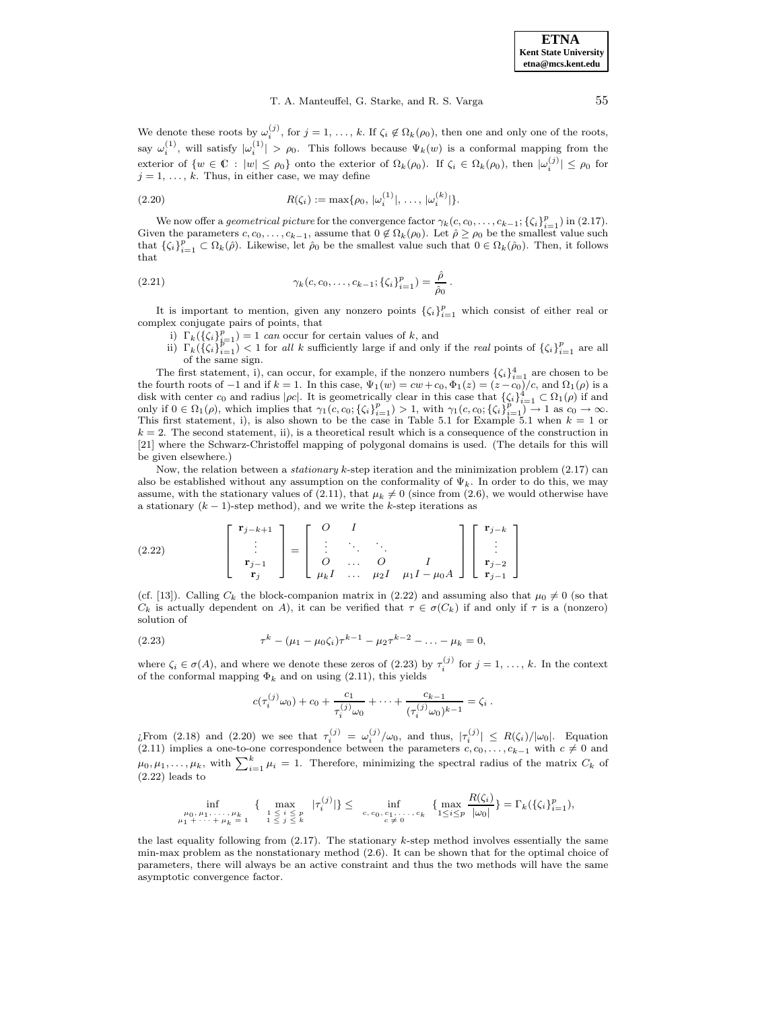We denote these roots by  $\omega_i^{(j)}$ , for  $j = 1, \ldots, k$ . If  $\zeta_i \notin \Omega_k(\rho_0)$ , then one and only one of the roots, say  $\omega_i^{(1)}$ , will satisfy  $|\omega_i^{(1)}| > \rho_0$ . This follows because  $\Psi_k(w)$  is a conformal mapping from the exterior of  $\{w \in \mathbb{C} : |w| \leq \rho_0\}$  onto the exterior of  $\Omega_k(\rho_0)$ . If  $\zeta_i \in \Omega_k(\rho_0)$ , then  $|\omega_i^{(j)}| \leq \rho_0$  for  $j = 1, \ldots, k$ . Thus, in either case, we may define

(2.20) 
$$
R(\zeta_i) := \max\{\rho_0, |\omega_i^{(1)}|, \ldots, |\omega_i^{(k)}|\}.
$$

We now offer a geometrical picture for the convergence factor  $\gamma_k(c, c_0, \ldots, c_{k-1}; {\zeta_i}_{i=1}^p)$  in (2.17). Given the parameters  $c_0, \ldots, c_{k-1}$ , assume that  $0 \notin \Omega_k(\rho_0)$ . Let  $\rho \geq \rho_0$  be the smallest value such that  $\{\zeta_i\}_{i=1}^p \subset \Omega_k(\hat{\rho})$ . Likewise, let  $\hat{\rho}_0$  be the smallest value such that  $0 \in \Omega_k(\hat{\rho}_0)$ . Then, it follows that

(2.21) 
$$
\gamma_k(c, c_0, \dots, c_{k-1}; \{\zeta_i\}_{i=1}^p) = \frac{\hat{\rho}}{\hat{\rho}_0}.
$$

It is important to mention, given any nonzero points  $\{\zeta_i\}_{i=1}^p$  which consist of either real or complex conjugate pairs of points, that

- 
- i)  $\Gamma_k(\{\zeta_i\}_{i=1}^p) = 1$  can occur for certain values of k, and<br>ii)  $\Gamma_k(\{\zeta_i\}_{i=1}^p) < 1$  for all k sufficiently large if and only if the real points of  $\{\zeta_i\}_{i=1}^p$  are all of the same sign.

The first statement, i), can occur, for example, if the nonzero numbers  $\{\zeta_i\}_{i=1}^4$  are chosen to be the fourth roots of  $-1$  and if  $k = 1$ . In this case,  $\Psi_1(w) = cw + c_0$ ,  $\Phi_1(z) = (z - c_0)/c$ , and  $\Omega_1(\rho)$  is a disk with center  $c_0$  and radius  $|\rho c|$ . It is geometrically clear in this case that  $\{\zeta_i\}_{i=1}^d \subset \Omega_1(\rho)$  if and only if  $0 \in \Omega_1(\rho)$ , which implies that  $\gamma_1(c, c_0; \{\zeta_i\}_{i=1}^p) > 1$ , with  $\gamma_1(c, c_0; \{\zeta_i\}_{i=1}^p) \$  $k = 2$ . The second statement, ii), is a theoretical result which is a consequence of the construction in [21] where the Schwarz-Christoffel mapping of polygonal domains is used. (The details for this will be given elsewhere.)

Now, the relation between a *stationary*  $k$ -step iteration and the minimization problem  $(2.17)$  can also be established without any assumption on the conformality of  $\Psi_k$ . In order to do this, we may assume, with the stationary values of (2.11), that  $\mu_k \neq 0$  (since from (2.6), we would otherwise have a stationary  $(k - 1)$ -step method), and we write the k-step iterations as

(2.22) 
$$
\begin{bmatrix} \mathbf{r}_{j-k+1} \\ \vdots \\ \mathbf{r}_{j-1} \\ \mathbf{r}_{j} \end{bmatrix} = \begin{bmatrix} O & I \\ \vdots & \ddots & \ddots \\ O & \dots & O \\ \mu_k I & \dots & \mu_2 I & \mu_1 I - \mu_0 A \end{bmatrix} \begin{bmatrix} \mathbf{r}_{j-k} \\ \vdots \\ \mathbf{r}_{j-2} \\ \mathbf{r}_{j-1} \end{bmatrix}
$$

(cf. [13]). Calling  $C_k$  the block-companion matrix in (2.22) and assuming also that  $\mu_0 \neq 0$  (so that  $C_k$  is actually dependent on A), it can be verified that  $\tau \in \sigma(C_k)$  if and only if  $\tau$  is a (nonzero) solution of

(2.23) 
$$
\tau^{k} - (\mu_1 - \mu_0 \zeta_i) \tau^{k-1} - \mu_2 \tau^{k-2} - \ldots - \mu_k = 0,
$$

where  $\zeta_i \in \sigma(A)$ , and where we denote these zeros of (2.23) by  $\tau_i^{(j)}$  for  $j = 1, \ldots, k$ . In the context of the conformal mapping  $\Phi_k$  and on using (2.11), this yields

$$
c(\tau_i^{(j)}\omega_0) + c_0 + \frac{c_1}{\tau_i^{(j)}\omega_0} + \cdots + \frac{c_{k-1}}{(\tau_i^{(j)}\omega_0)^{k-1}} = \zeta_i.
$$

*i* From (2.18) and (2.20) we see that  $\tau_i^{(j)} = \omega_i^{(j)}/\omega_0$ , and thus,  $|\tau_i^{(j)}| \le R(\zeta_i)/|\omega_0|$ . Equation (2.11) implies a one-to-one correspondence between the parameters  $c, c_0, \ldots, c_{k-1}$  with  $c \neq 0$  and  $\mu_0, \mu_1, \ldots, \mu_k$ , with  $\sum_{i=1}^k \mu_i = 1$ . Therefore, minimizing the spectral radius of the matrix  $C_k$  of  $(2.22)$  leads to

$$
\inf_{\substack{\mu_0, \mu_1, \dots, \mu_k \\ \mu_1 + \dots + \mu_k = 1}} \{ \max_{\substack{1 \le i \le p \\ 1 \le j \le k}} |\tau_i^{(j)}| \} \le \inf_{\substack{c, c_0, c_1, \dots, c_k \\ c \neq 0}} \{ \max_{\substack{1 \le i \le p \\ 1 \le i \le p}} \frac{R(\zeta_i)}{|\omega_0|} \} = \Gamma_k(\{\zeta_i\}_{i=1}^p),
$$

the last equality following from (2.17). The stationary k-step method involves essentially the same min-max problem as the nonstationary method (2.6). It can be shown that for the optimal choice of parameters, there will always be an active constraint and thus the two methods will have the same asymptotic convergence factor.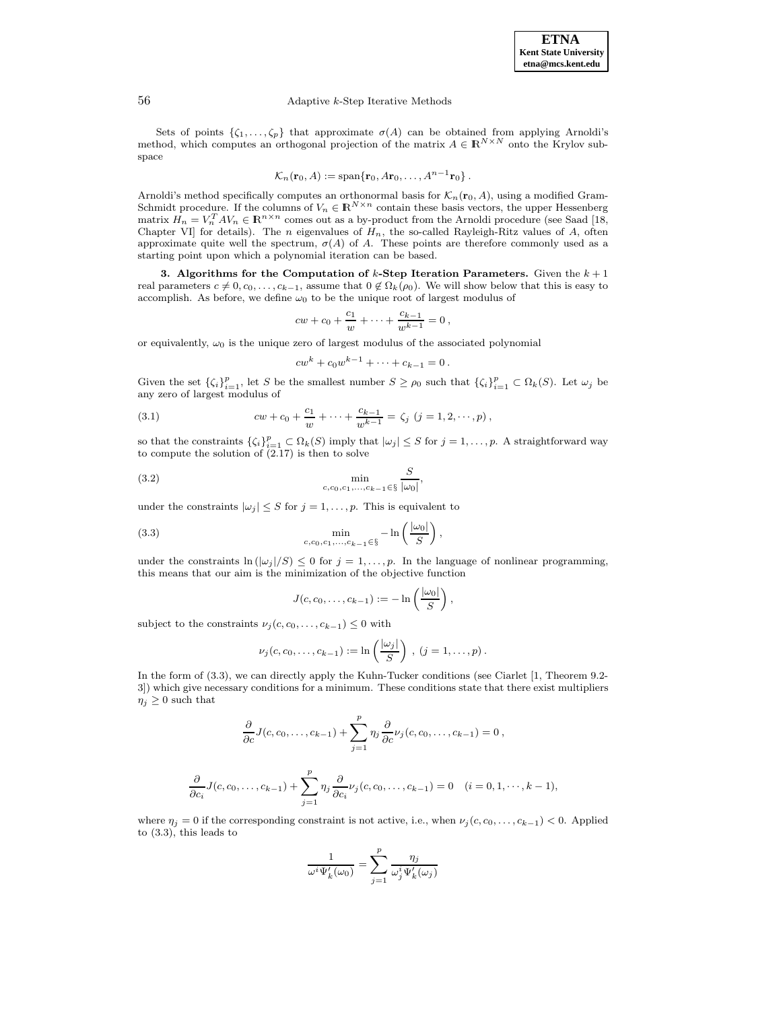#### 56 Adaptive k-Step Iterative Methods

Sets of points  $\{\zeta_1,\ldots,\zeta_p\}$  that approximate  $\sigma(A)$  can be obtained from applying Arnoldi's method, which computes an orthogonal projection of the matrix  $A \in \mathbb{R}^{N \times N}$  onto the Krylov subspace

$$
\mathcal{K}_n(\mathbf{r}_0, A) := \mathrm{span}\{\mathbf{r}_0, A\mathbf{r}_0, \ldots, A^{n-1}\mathbf{r}_0\}.
$$

Arnoldi's method specifically computes an orthonormal basis for  $\mathcal{K}_n(\mathbf{r}_0, A)$ , using a modified Gram-Schmidt procedure. If the columns of  $V_n \in \mathbb{R}^{N \times n}$  contain these basis vectors, the upper Hessenberg matrix  $H_n = V_n^T A V_n \in \mathbb{R}^{n \times n}$  comes out as a by-product from the Arnoldi procedure (see Saad [18, Chapter VI] for details). The *n* eigenvalues of  $H_n$ , the so-called Rayleigh-Ritz values of A, often approximate quite well the spectrum,  $\sigma(A)$  of A. These points are therefore commonly used as a starting point upon which a polynomial iteration can be based.

**3. Algorithms for the Computation of k-Step Iteration Parameters.** Given the  $k + 1$ real parameters  $c \neq 0, c_0, \ldots, c_{k-1}$ , assume that  $0 \notin \Omega_k(\rho_0)$ . We will show below that this is easy to accomplish. As before, we define  $\omega_0$  to be the unique root of largest modulus of

$$
cw + c_0 + \frac{c_1}{w} + \dots + \frac{c_{k-1}}{w^{k-1}} = 0,
$$

or equivalently,  $\omega_0$  is the unique zero of largest modulus of the associated polynomial

$$
cw^k + c_0w^{k-1} + \cdots + c_{k-1} = 0.
$$

Given the set  $\{\zeta_i\}_{i=1}^p$ , let S be the smallest number  $S \ge \rho_0$  such that  $\{\zeta_i\}_{i=1}^p \subset \Omega_k(S)$ . Let  $\omega_j$  be any zero of largest modulus of

(3.1) 
$$
cw + c_0 + \frac{c_1}{w} + \dots + \frac{c_{k-1}}{w^{k-1}} = \zeta_j \ (j = 1, 2, \dots, p),
$$

so that the constraints  $\{\zeta_i\}_{i=1}^p \subset \Omega_k(S)$  imply that  $|\omega_j| \leq S$  for  $j = 1, \ldots, p$ . A straightforward way to compute the solution of  $(2.17)$  is then to solve

(3.2) 
$$
\min_{c, c_0, c_1, ..., c_{k-1} \in \S} \frac{S}{|\omega_0|},
$$

under the constraints  $|\omega_j| \leq S$  for  $j = 1, \ldots, p$ . This is equivalent to

(3.3) 
$$
\min_{c,c_0,c_1,\ldots,c_{k-1}\in\S} -\ln\left(\frac{|\omega_0|}{S}\right),
$$

under the constraints  $\ln(|\omega_j|/S) \leq 0$  for  $j = 1, \ldots, p$ . In the language of nonlinear programming, this means that our aim is the minimization of the objective function

$$
J(c, c_0, \ldots, c_{k-1}) := -\ln\left(\frac{|\omega_0|}{S}\right),\,
$$

subject to the constraints  $\nu_j(c,c_0,\ldots,c_{k-1}) \leq 0$  with

$$
\nu_j(c,c_0,\ldots,c_{k-1}):=\ln\left(\frac{|\omega_j|}{S}\right), (j=1,\ldots,p).
$$

In the form of  $(3.3)$ , we can directly apply the Kuhn-Tucker conditions (see Ciarlet [1, Theorem 9.2-3]) which give necessary conditions for a minimum. These conditions state that there exist multipliers  $\eta_j \geq 0$  such that

$$
\frac{\partial}{\partial c}J(c,c_0,\ldots,c_{k-1})+\sum_{j=1}^p\eta_j\frac{\partial}{\partial c}\nu_j(c,c_0,\ldots,c_{k-1})=0\,,
$$

$$
\frac{\partial}{\partial c_i} J(c, c_0, \dots, c_{k-1}) + \sum_{j=1}^p \eta_j \frac{\partial}{\partial c_i} \nu_j(c, c_0, \dots, c_{k-1}) = 0 \quad (i = 0, 1, \dots, k-1),
$$

where  $\eta_j = 0$  if the corresponding constraint is not active, i.e., when  $\nu_j(c, c_0, \ldots, c_{k-1}) < 0$ . Applied to (3.3), this leads to

$$
\frac{1}{\omega^i\Psi'_k(\omega_0)} = \sum_{j=1}^p \frac{\eta_j}{\omega_j^i\Psi'_k(\omega_j)}
$$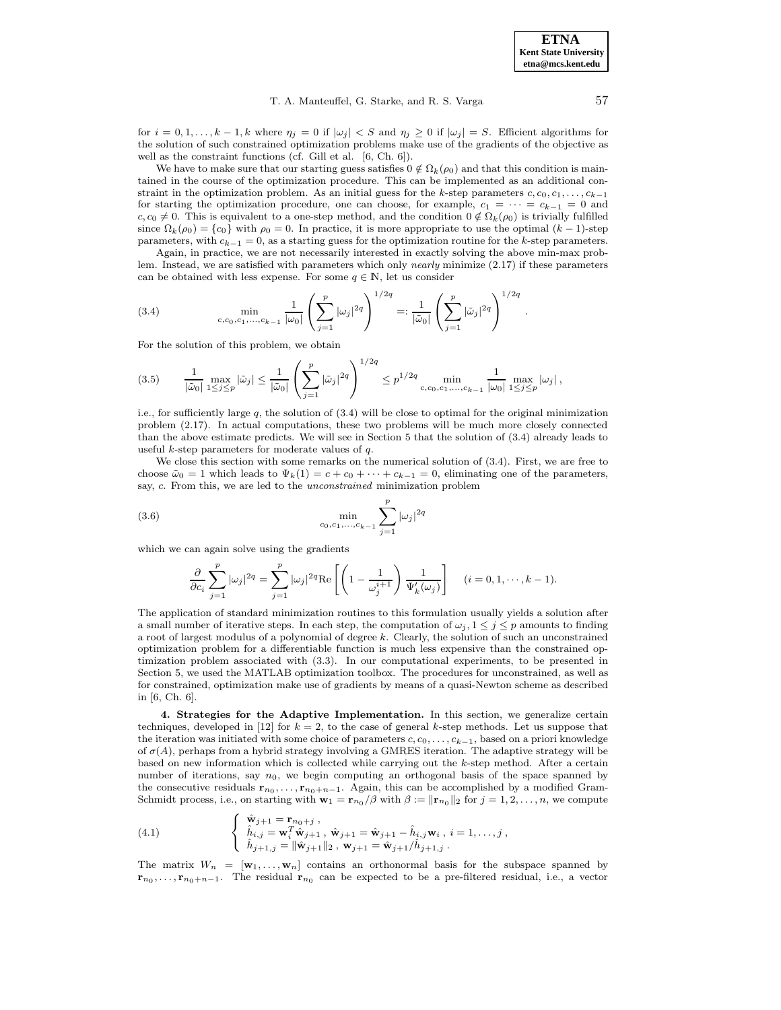for  $i = 0, 1, \ldots, k - 1, k$  where  $\eta_j = 0$  if  $|\omega_j| < S$  and  $\eta_j \ge 0$  if  $|\omega_j| = S$ . Efficient algorithms for the solution of such constrained optimization problems make use of the gradients of the objective as well as the constraint functions (cf. Gill et al. [6, Ch. 6]).

We have to make sure that our starting guess satisfies  $0 \notin \Omega_k(\rho_0)$  and that this condition is maintained in the course of the optimization procedure. This can be implemented as an additional constraint in the optimization problem. As an initial guess for the k-step parameters  $c, c_0, c_1, \ldots, c_{k-1}$ for starting the optimization procedure, one can choose, for example,  $c_1 = \cdots = c_{k-1} = 0$  and  $c, c_0 \neq 0$ . This is equivalent to a one-step method, and the condition  $0 \notin \Omega_k(\rho_0)$  is trivially fulfilled since  $\Omega_k(\rho_0) = \{c_0\}$  with  $\rho_0 = 0$ . In practice, it is more appropriate to use the optimal  $(k-1)$ -step parameters, with  $c_{k-1} = 0$ , as a starting guess for the optimization routine for the k-step parameters.

Again, in practice, we are not necessarily interested in exactly solving the above min-max problem. Instead, we are satisfied with parameters which only nearly minimize (2.17) if these parameters can be obtained with less expense. For some  $q \in \mathbb{N}$ , let us consider

(3.4) 
$$
\min_{c,c_0,c_1,\dots,c_{k-1}} \frac{1}{|\omega_0|} \left( \sum_{j=1}^p |\omega_j|^{2q} \right)^{1/2q} =: \frac{1}{|\tilde{\omega}_0|} \left( \sum_{j=1}^p |\tilde{\omega}_j|^{2q} \right)^{1/2q}.
$$

For the solution of this problem, we obtain

$$
(3.5) \qquad \frac{1}{|\tilde{\omega}_0|} \max_{1 \le j \le p} |\tilde{\omega}_j| \le \frac{1}{|\tilde{\omega}_0|} \left( \sum_{j=1}^p |\tilde{\omega}_j|^{2q} \right)^{1/2q} \le p^{1/2q} \min_{c,c_0,c_1,\ldots,c_{k-1}} \frac{1}{|\omega_0|} \max_{1 \le j \le p} |\omega_j|,
$$

i.e., for sufficiently large  $q$ , the solution of  $(3.4)$  will be close to optimal for the original minimization problem (2.17). In actual computations, these two problems will be much more closely connected than the above estimate predicts. We will see in Section 5 that the solution of (3.4) already leads to useful k-step parameters for moderate values of  $q$ .

We close this section with some remarks on the numerical solution of  $(3.4)$ . First, we are free to choose  $\tilde{\omega}_0 = 1$  which leads to  $\Psi_k(1) = c + c_0 + \cdots + c_{k-1} = 0$ , eliminating one of the parameters, say, c. From this, we are led to the unconstrained minimization problem

(3.6) 
$$
\min_{c_0, c_1, ..., c_{k-1}} \sum_{j=1}^p |\omega_j|^{2q}
$$

which we can again solve using the gradients

$$
\frac{\partial}{\partial c_i} \sum_{j=1}^p |\omega_j|^{2q} = \sum_{j=1}^p |\omega_j|^{2q} \text{Re}\left[ \left( 1 - \frac{1}{\omega_j^{i+1}} \right) \frac{1}{\Psi_k'(\omega_j)} \right] \quad (i = 0, 1, \dots, k-1).
$$

The application of standard minimization routines to this formulation usually yields a solution after a small number of iterative steps. In each step, the computation of  $\omega_j$ ,  $1 \leq j \leq p$  amounts to finding a root of largest modulus of a polynomial of degree k. Clearly, the solution of such an unconstrained optimization problem for a differentiable function is much less expensive than the constrained optimization problem associated with (3.3). In our computational experiments, to be presented in Section 5, we used the MATLAB optimization toolbox. The procedures for unconstrained, as well as for constrained, optimization make use of gradients by means of a quasi-Newton scheme as described in [6, Ch. 6].

**4. Strategies for the Adaptive Implementation.** In this section, we generalize certain techniques, developed in [12] for  $k = 2$ , to the case of general k-step methods. Let us suppose that the iteration was initiated with some choice of parameters  $c, c_0, \ldots, c_{k-1}$ , based on a priori knowledge of  $\sigma(A)$ , perhaps from a hybrid strategy involving a GMRES iteration. The adaptive strategy will be based on new information which is collected while carrying out the k-step method. After a certain number of iterations, say  $n_0$ , we begin computing an orthogonal basis of the space spanned by the consecutive residuals  $\mathbf{r}_{n_0}, \ldots, \mathbf{r}_{n_0+n-1}$ . Again, this can be accomplished by a modified Gram-Schmidt process, i.e., on starting with  $\mathbf{w}_1 = \mathbf{r}_{n_0}/\beta$  with  $\beta := ||\mathbf{r}_{n_0}||_2$  for  $j = 1, 2, ..., n$ , we compute

(4.1) 
$$
\begin{cases} \hat{\mathbf{w}}_{j+1} = \mathbf{r}_{n_0+j} , \\ \hat{h}_{i,j} = \mathbf{w}_i^T \hat{\mathbf{w}}_{j+1} , \hat{\mathbf{w}}_{j+1} = \hat{\mathbf{w}}_{j+1} - \hat{h}_{i,j} \mathbf{w}_i , i = 1, \ldots, j , \\ \hat{h}_{j+1,j} = ||\hat{\mathbf{w}}_{j+1}||_2 , \mathbf{w}_{j+1} = \hat{\mathbf{w}}_{j+1} / \hat{h}_{j+1,j} . \end{cases}
$$

The matrix  $W_n = [\mathbf{w}_1, \dots, \mathbf{w}_n]$  contains an orthonormal basis for the subspace spanned by  $\mathbf{r}_{n_0}, \ldots, \mathbf{r}_{n_0+n-1}$ . The residual  $\mathbf{r}_{n_0}$  can be expected to be a pre-filtered residual, i.e., a vector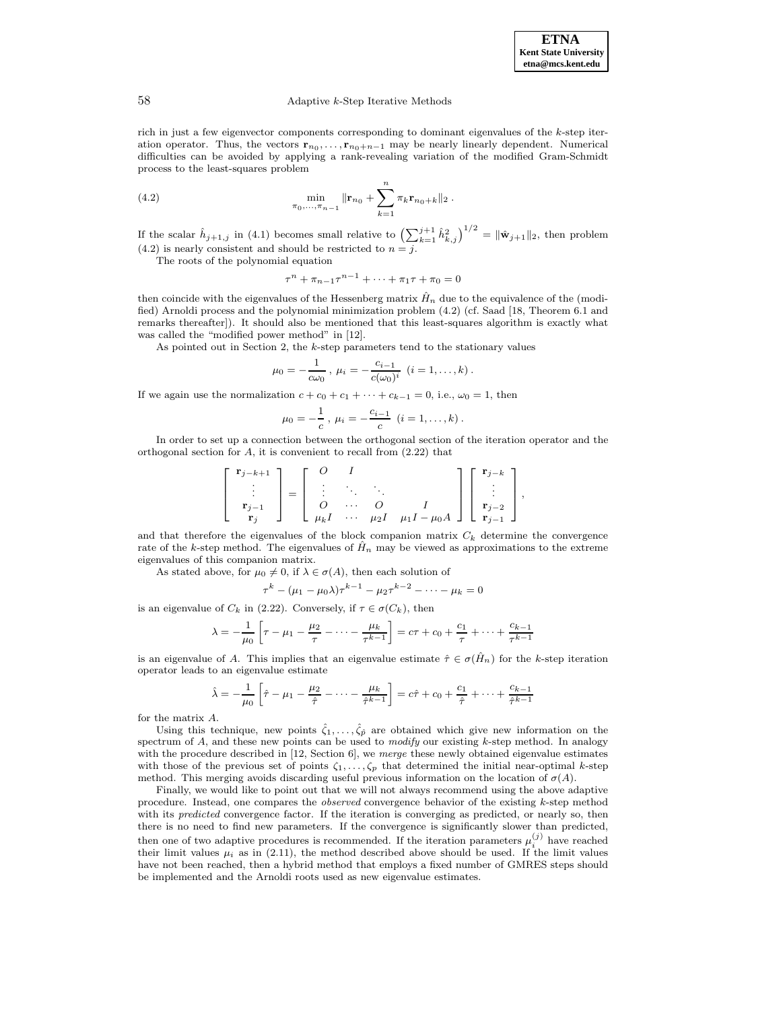#### 58 Adaptive k-Step Iterative Methods

rich in just a few eigenvector components corresponding to dominant eigenvalues of the k-step iteration operator. Thus, the vectors  $\mathbf{r}_{n_0}, \ldots, \mathbf{r}_{n_0+n-1}$  may be nearly linearly dependent. Numerical difficulties can be avoided by applying a rank-revealing variation of the modified Gram-Schmidt process to the least-squares problem

(4.2) 
$$
\min_{\pi_0, ..., \pi_{n-1}} \|\mathbf{r}_{n_0} + \sum_{k=1}^n \pi_k \mathbf{r}_{n_0+k}\|_2.
$$

If the scalar  $\hat{h}_{j+1,j}$  in (4.1) becomes small relative to  $\left(\sum_{k=1}^{j+1} \hat{h}_{k,j}^2\right)^{1/2} = \|\hat{\mathbf{w}}_{j+1}\|_2$ , then problem  $(4.2)$  is nearly consistent and should be restricted to  $n = j$ .

The roots of the polynomial equation

 $\tau^{n} + \pi_{n-1}\tau^{n-1} + \cdots + \pi_1\tau + \pi_0 = 0$ 

then coincide with the eigenvalues of the Hessenberg matrix  $\hat{H}_n$  due to the equivalence of the (modified) Arnoldi process and the polynomial minimization problem (4.2) (cf. Saad [18, Theorem 6.1 and remarks thereafter]). It should also be mentioned that this least-squares algorithm is exactly what was called the "modified power method" in [12].

As pointed out in Section 2, the k-step parameters tend to the stationary values

$$
\mu_0 = -\frac{1}{c\omega_0}, \ \mu_i = -\frac{c_{i-1}}{c(\omega_0)^i} \ (i = 1, \dots, k).
$$

If we again use the normalization  $c + c_0 + c_1 + \cdots + c_{k-1} = 0$ , i.e.,  $\omega_0 = 1$ , then

$$
\mu_0 = -\frac{1}{c}, \ \mu_i = -\frac{c_{i-1}}{c} \ (i = 1, \ldots, k).
$$

In order to set up a connection between the orthogonal section of the iteration operator and the orthogonal section for  $A$ , it is convenient to recall from  $(2.22)$  that

$$
\left[\begin{array}{c} \mathbf{r}_{j-k+1} \\ \vdots \\ \mathbf{r}_{j-1} \\ \mathbf{r}_{j} \end{array}\right] = \left[\begin{array}{cccc} O & I \\ \vdots & \ddots & \ddots \\ O & \cdots & O \\ \mu_{k}I & \cdots & \mu_{2}I \end{array}\right] \left[\begin{array}{c} \mathbf{r}_{j-k} \\ \vdots \\ \mathbf{r}_{j-2} \\ \mathbf{r}_{j-1} \end{array}\right],
$$

and that therefore the eigenvalues of the block companion matrix  $C_k$  determine the convergence rate of the k-step method. The eigenvalues of  $\hat{H}_n$  may be viewed as approximations to the extreme eigenvalues of this companion matrix.

As stated above, for  $\mu_0 \neq 0$ , if  $\lambda \in \sigma(A)$ , then each solution of

$$
\tau^{k} - (\mu_1 - \mu_0 \lambda) \tau^{k-1} - \mu_2 \tau^{k-2} - \dots - \mu_k = 0
$$

is an eigenvalue of  $C_k$  in (2.22). Conversely, if  $\tau \in \sigma(C_k)$ , then

$$
\lambda = -\frac{1}{\mu_0} \left[ \tau - \mu_1 - \frac{\mu_2}{\tau} - \dots - \frac{\mu_k}{\tau^{k-1}} \right] = c\tau + c_0 + \frac{c_1}{\tau} + \dots + \frac{c_{k-1}}{\tau^{k-1}}
$$

is an eigenvalue of A. This implies that an eigenvalue estimate  $\hat{\tau} \in \sigma(\hat{H}_n)$  for the k-step iteration operator leads to an eigenvalue estimate

$$
\hat{\lambda} = -\frac{1}{\mu_0} \left[ \hat{\tau} - \mu_1 - \frac{\mu_2}{\hat{\tau}} - \dots - \frac{\mu_k}{\hat{\tau}^{k-1}} \right] = c\hat{\tau} + c_0 + \frac{c_1}{\hat{\tau}} + \dots + \frac{c_{k-1}}{\hat{\tau}^{k-1}}
$$

for the matrix A.

Using this technique, new points  $\hat{\zeta}_1,\ldots,\hat{\zeta}_{\hat{p}}$  are obtained which give new information on the spectrum of  $A$ , and these new points can be used to *modify* our existing  $k$ -step method. In analogy with the procedure described in  $[12, Section 6]$ , we merge these newly obtained eigenvalue estimates with those of the previous set of points  $\zeta_1,\ldots,\zeta_p$  that determined the initial near-optimal k-step method. This merging avoids discarding useful previous information on the location of  $\sigma(A)$ .

Finally, we would like to point out that we will not always recommend using the above adaptive procedure. Instead, one compares the observed convergence behavior of the existing k-step method with its *predicted* convergence factor. If the iteration is converging as predicted, or nearly so, then there is no need to find new parameters. If the convergence is significantly slower than predicted, then one of two adaptive procedures is recommended. If the iteration parameters  $\mu_i^{(j)}$  have reached their limit values  $\mu_i$  as in (2.11), the method described above should be used. If the limit values have not been reached, then a hybrid method that employs a fixed number of GMRES steps should be implemented and the Arnoldi roots used as new eigenvalue estimates.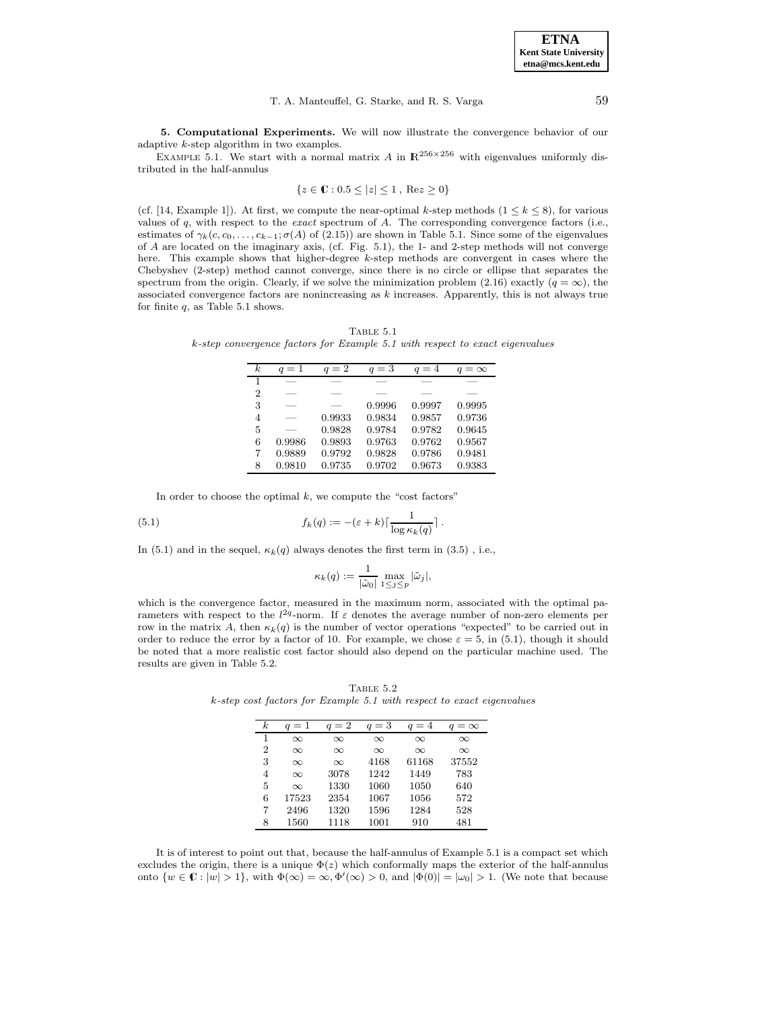#### T. A. Manteuffel, G. Starke, and R. S. Varga 59

**5. Computational Experiments.** We will now illustrate the convergence behavior of our adaptive k-step algorithm in two examples.

EXAMPLE 5.1. We start with a normal matrix A in  $\mathbb{R}^{256\times256}$  with eigenvalues uniformly distributed in the half-annulus

$$
\{z \in \mathbb{C} : 0.5 \le |z| \le 1, \text{ Re} z \ge 0\}
$$

(cf. [14, Example 1]). At first, we compute the near-optimal k-step methods ( $1 \leq k \leq 8$ ), for various values of  $q$ , with respect to the *exact* spectrum of  $A$ . The corresponding convergence factors (i.e., estimates of  $\gamma_k(c, c_0, \ldots, c_{k-1}; \sigma(A)$  of (2.15)) are shown in Table 5.1. Since some of the eigenvalues of A are located on the imaginary axis, (cf. Fig. 5.1), the 1- and 2-step methods will not converge here. This example shows that higher-degree k-step methods are convergent in cases where the Chebyshev (2-step) method cannot converge, since there is no circle or ellipse that separates the spectrum from the origin. Clearly, if we solve the minimization problem (2.16) exactly ( $q = \infty$ ), the associated convergence factors are nonincreasing as  $k$  increases. Apparently, this is not always true for finite  $q$ , as Table 5.1 shows.

TABLE  $5.1$ k-step convergence factors for Example 5.1 with respect to exact eigenvalues

| $_{k}$         | $q=1$  | $q=2$  | $q=3$  | $q=4$  | $=\infty$ |
|----------------|--------|--------|--------|--------|-----------|
| 1              |        |        |        |        |           |
| $\overline{2}$ |        |        |        |        |           |
| 3              |        |        | 0.9996 | 0.9997 | 0.9995    |
| 4              |        | 0.9933 | 0.9834 | 0.9857 | 0.9736    |
| 5              |        | 0.9828 | 0.9784 | 0.9782 | 0.9645    |
| 6              | 0.9986 | 0.9893 | 0.9763 | 0.9762 | 0.9567    |
| 7              | 0.9889 | 0.9792 | 0.9828 | 0.9786 | 0.9481    |
| 8              | 0.9810 | 0.9735 | 0.9702 | 0.9673 | 0.9383    |

In order to choose the optimal  $k$ , we compute the "cost factors"

(5.1) 
$$
f_k(q) := -(\varepsilon + k) \lceil \frac{1}{\log \kappa_k(q)} \rceil.
$$

In (5.1) and in the sequel,  $\kappa_k(q)$  always denotes the first term in (3.5), i.e.,

$$
\kappa_k(q) := \frac{1}{|\tilde{\omega}_0|} \max_{1 \le j \le p} |\tilde{\omega}_j|,
$$

which is the convergence factor, measured in the maximum norm, associated with the optimal parameters with respect to the  $l^{2q}$ -norm. If  $\varepsilon$  denotes the average number of non-zero elements per row in the matrix A, then  $\kappa_k(q)$  is the number of vector operations "expected" to be carried out in order to reduce the error by a factor of 10. For example, we chose  $\varepsilon = 5$ , in (5.1), though it should be noted that a more realistic cost factor should also depend on the particular machine used. The results are given in Table 5.2.

TABLE  $5.2$ k-step cost factors for Example 5.1 with respect to exact eigenvalues

| $_{k}$ | $q=1$    | $q=2$    | $q=3$    | $q=4$    | $=\infty$ |
|--------|----------|----------|----------|----------|-----------|
| 1      | $\infty$ | $\infty$ | $\infty$ | $\infty$ | $\infty$  |
| 2      | $\infty$ | $\infty$ | $\infty$ | $\infty$ | $\infty$  |
| 3      | $\infty$ | $\infty$ | 4168     | 61168    | 37552     |
| 4      | $\infty$ | 3078     | 1242     | 1449     | 783       |
| 5      | $\infty$ | 1330     | 1060     | 1050     | 640       |
| 6      | 17523    | 2354     | 1067     | 1056     | 572       |
| 7      | 2496     | 1320     | 1596     | 1284     | 528       |
| 8      | 1560     | 1118     | 1001     | 910      | 481       |

It is of interest to point out that, because the half-annulus of Example 5.1 is a compact set which excludes the origin, there is a unique  $\Phi(z)$  which conformally maps the exterior of the half-annulus onto  $\{w \in \mathbb{C} : |w| > 1\}$ , with  $\Phi(\infty) = \infty, \Phi'(\infty) > 0$ , and  $|\Phi(0)| = |\omega_0| > 1$ . (We note that because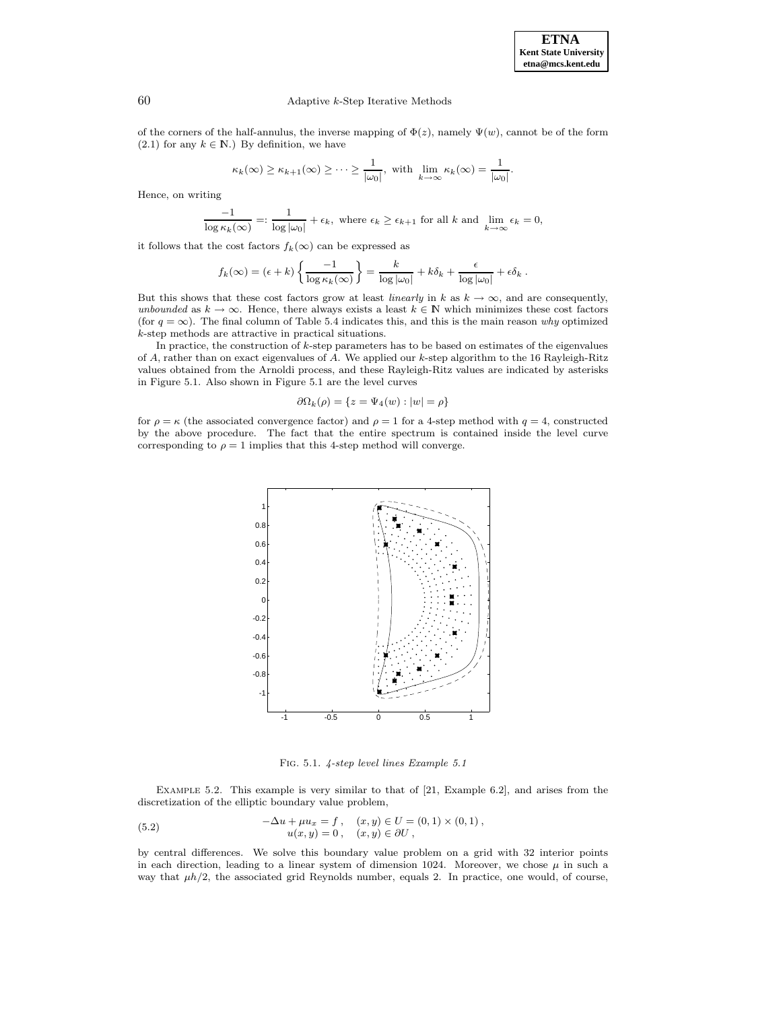.

## 60 Adaptive k-Step Iterative Methods

of the corners of the half-annulus, the inverse mapping of  $\Phi(z)$ , namely  $\Psi(w)$ , cannot be of the form (2.1) for any  $k \in \mathbb{N}$ .) By definition, we have

$$
\kappa_k(\infty) \ge \kappa_{k+1}(\infty) \ge \cdots \ge \frac{1}{|\omega_0|}
$$
, with  $\lim_{k \to \infty} \kappa_k(\infty) = \frac{1}{|\omega_0|}$ 

Hence, on writing

$$
\frac{-1}{\log \kappa_k(\infty)} =: \frac{1}{\log |\omega_0|} + \epsilon_k, \text{ where } \epsilon_k \ge \epsilon_{k+1} \text{ for all } k \text{ and } \lim_{k \to \infty} \epsilon_k = 0,
$$

it follows that the cost factors  $f_k(\infty)$  can be expressed as

$$
f_k(\infty) = (\epsilon + k) \left\{ \frac{-1}{\log \kappa_k(\infty)} \right\} = \frac{k}{\log |\omega_0|} + k \delta_k + \frac{\epsilon}{\log |\omega_0|} + \epsilon \delta_k.
$$

But this shows that these cost factors grow at least *linearly* in k as  $k \to \infty$ , and are consequently, unbounded as  $k \to \infty$ . Hence, there always exists a least  $k \in \mathbb{N}$  which minimizes these cost factors (for  $q = \infty$ ). The final column of Table 5.4 indicates this, and this is the main reason why optimized k-step methods are attractive in practical situations.

In practice, the construction of  $k$ -step parameters has to be based on estimates of the eigenvalues of A, rather than on exact eigenvalues of A. We applied our k-step algorithm to the 16 Rayleigh-Ritz values obtained from the Arnoldi process, and these Rayleigh-Ritz values are indicated by asterisks in Figure 5.1. Also shown in Figure 5.1 are the level curves

$$
\partial\Omega_k(\rho) = \{ z = \Psi_4(w) : |w| = \rho \}
$$

for  $\rho = \kappa$  (the associated convergence factor) and  $\rho = 1$  for a 4-step method with  $q = 4$ , constructed by the above procedure. The fact that the entire spectrum is contained inside the level curve corresponding to  $\rho = 1$  implies that this 4-step method will converge.



Fig. 5.1. 4-step level lines Example 5.1

Example 5.2. This example is very similar to that of [21, Example 6.2], and arises from the discretization of the elliptic boundary value problem,

(5.2) 
$$
-\Delta u + \mu u_x = f, \quad (x, y) \in U = (0, 1) \times (0, 1), u(x, y) = 0, \quad (x, y) \in \partial U,
$$

by central differences. We solve this boundary value problem on a grid with 32 interior points in each direction, leading to a linear system of dimension 1024. Moreover, we chose  $\mu$  in such a way that  $\mu h/2$ , the associated grid Reynolds number, equals 2. In practice, one would, of course,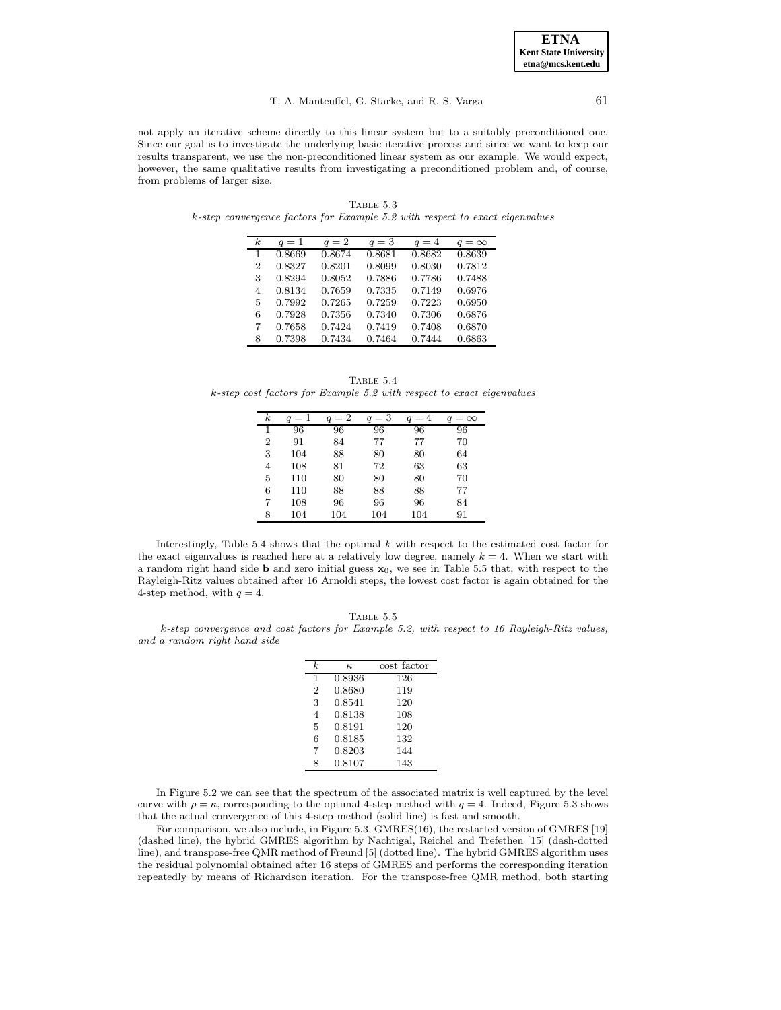#### T. A. Manteuffel, G. Starke, and R. S. Varga 61

not apply an iterative scheme directly to this linear system but to a suitably preconditioned one. Since our goal is to investigate the underlying basic iterative process and since we want to keep our results transparent, we use the non-preconditioned linear system as our example. We would expect, however, the same qualitative results from investigating a preconditioned problem and, of course, from problems of larger size.

| k. | $q=1$  | $q=2$  | $q=3$  | $q=4$  | $q = \infty$ |
|----|--------|--------|--------|--------|--------------|
| 1  | 0.8669 | 0.8674 | 0.8681 | 0.8682 | 0.8639       |
| 2  | 0.8327 | 0.8201 | 0.8099 | 0.8030 | 0.7812       |
| 3  | 0.8294 | 0.8052 | 0.7886 | 0.7786 | 0.7488       |
| 4  | 0.8134 | 0.7659 | 0.7335 | 0.7149 | 0.6976       |
| 5  | 0.7992 | 0.7265 | 0.7259 | 0.7223 | 0.6950       |
| 6  | 0.7928 | 0.7356 | 0.7340 | 0.7306 | 0.6876       |
| 7  | 0.7658 | 0.7424 | 0.7419 | 0.7408 | 0.6870       |
| 8  | 0.7398 | 0.7434 | 0.7464 | 0.7444 | 0.6863       |

TABLE  $5.3$ k-step convergence factors for Example 5.2 with respect to exact eigenvalues

|                                                                       | TABLE 5.4 |  |  |
|-----------------------------------------------------------------------|-----------|--|--|
| k-step cost factors for Example 5.2 with respect to exact eigenvalues |           |  |  |

| $\boldsymbol{k}$ | $q=1$ | $q=2$ | $=$ 3 | $q=4$ | $=$ $\infty$ |
|------------------|-------|-------|-------|-------|--------------|
| 1                | 96    | 96    | 96    | 96    | 96           |
| 2                | 91    | 84    | 77    | 77    | 70           |
| 3                | 104   | 88    | 80    | 80    | 64           |
| 4                | 108   | 81    | 72    | 63    | 63           |
| 5                | 110   | 80    | 80    | 80    | 70           |
| 6                | 110   | 88    | 88    | 88    | 77           |
| 7                | 108   | 96    | 96    | 96    | 84           |
| 8                | 104   | 104   | 104   | 104   | 91           |

Interestingly, Table 5.4 shows that the optimal  $k$  with respect to the estimated cost factor for the exact eigenvalues is reached here at a relatively low degree, namely  $k = 4$ . When we start with a random right hand side **b** and zero initial guess **x**0, we see in Table 5.5 that, with respect to the Rayleigh-Ritz values obtained after 16 Arnoldi steps, the lowest cost factor is again obtained for the 4-step method, with  $q = 4$ .

TABLE  $5.5$ 

k-step convergence and cost factors for Example 5.2, with respect to 16 Rayleigh-Ritz values, and a random right hand side

| k.             | $\kappa$ | cost factor |
|----------------|----------|-------------|
| 1              | 0.8936   | 126         |
| $\overline{2}$ | 0.8680   | 119         |
| 3              | 0.8541   | 120         |
| $\overline{4}$ | 0.8138   | 108         |
| 5              | 0.8191   | 120         |
| 6              | 0.8185   | 132         |
| 7              | 0.8203   | 144         |
| 8              | 0.8107   | 143         |

In Figure 5.2 we can see that the spectrum of the associated matrix is well captured by the level curve with  $\rho = \kappa$ , corresponding to the optimal 4-step method with  $q = 4$ . Indeed, Figure 5.3 shows that the actual convergence of this 4-step method (solid line) is fast and smooth.

For comparison, we also include, in Figure 5.3, GMRES(16), the restarted version of GMRES [19] (dashed line), the hybrid GMRES algorithm by Nachtigal, Reichel and Trefethen [15] (dash-dotted line), and transpose-free QMR method of Freund [5] (dotted line). The hybrid GMRES algorithm uses the residual polynomial obtained after 16 steps of GMRES and performs the corresponding iteration repeatedly by means of Richardson iteration. For the transpose-free QMR method, both starting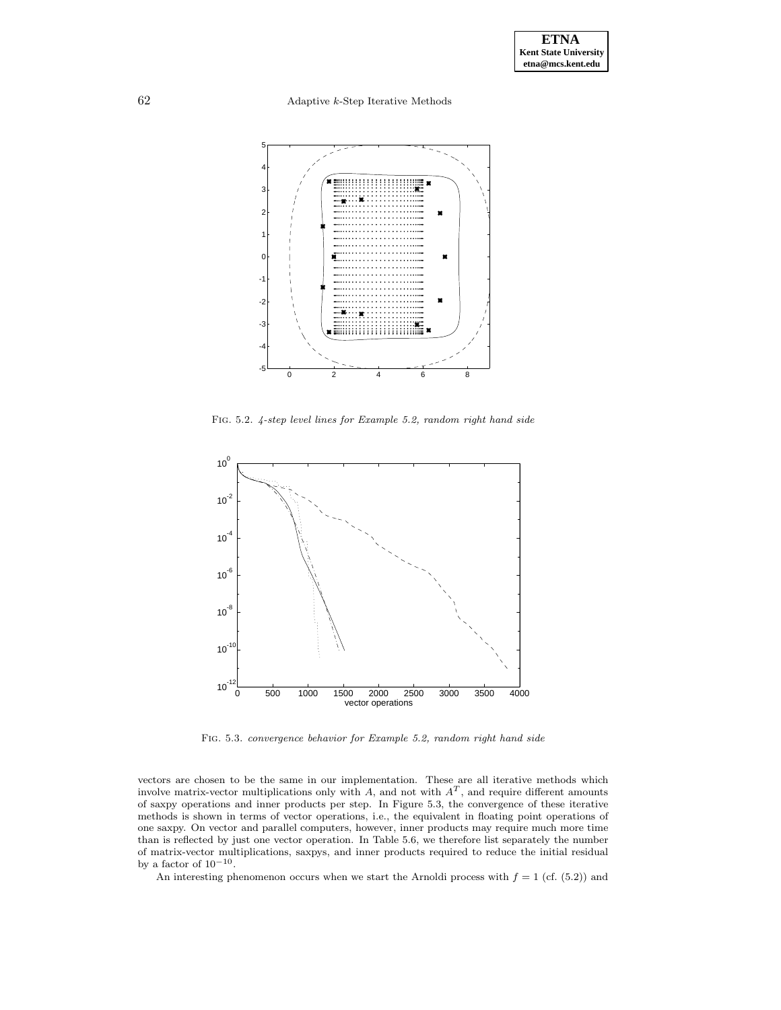62 Adaptive k-Step Iterative Methods



Fig. 5.2. 4-step level lines for Example 5.2, random right hand side



Fig. 5.3. convergence behavior for Example 5.2, random right hand side

vectors are chosen to be the same in our implementation. These are all iterative methods which involve matrix-vector multiplications only with  $A$ , and not with  $A<sup>T</sup>$ , and require different amounts of saxpy operations and inner products per step. In Figure 5.3, the convergence of these iterative methods is shown in terms of vector operations, i.e., the equivalent in floating point operations of one saxpy. On vector and parallel computers, however, inner products may require much more time than is reflected by just one vector operation. In Table 5.6, we therefore list separately the number of matrix-vector multiplications, saxpys, and inner products required to reduce the initial residual by a factor of  $10^{-10}$ .

An interesting phenomenon occurs when we start the Arnoldi process with  $f = 1$  (cf. (5.2)) and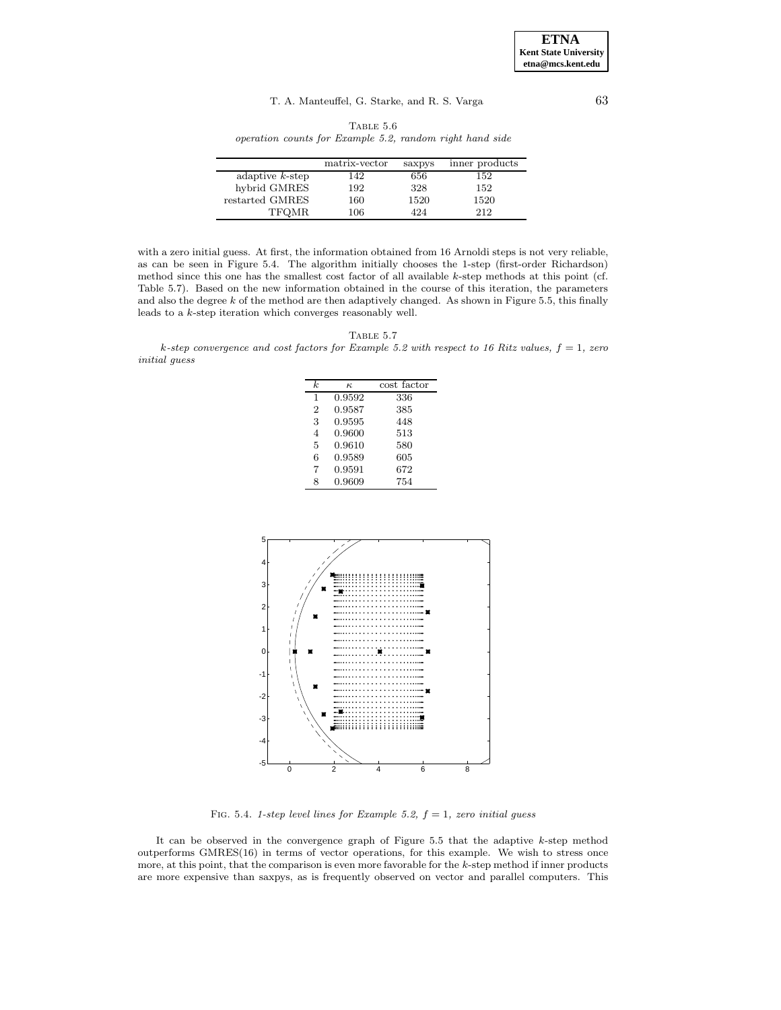TABLE  $5.6\,$ operation counts for Example 5.2, random right hand side

|                    | matrix-vector | saxpys | inner products |
|--------------------|---------------|--------|----------------|
| adaptive $k$ -step | 142           | 656    | 152            |
| hybrid GMRES       | 192           | 328    | 152            |
| restarted GMRES    | 160           | 1520   | 1520           |
| TFQMR              | 106           | 424    | 212            |

with a zero initial guess. At first, the information obtained from 16 Arnoldi steps is not very reliable, as can be seen in Figure 5.4. The algorithm initially chooses the 1-step (first-order Richardson) method since this one has the smallest cost factor of all available k-step methods at this point (cf. Table 5.7). Based on the new information obtained in the course of this iteration, the parameters and also the degree  $k$  of the method are then adaptively changed. As shown in Figure 5.5, this finally leads to a k-step iteration which converges reasonably well.

| <b>LABLE</b> |  |
|--------------|--|
|              |  |

k-step convergence and cost factors for Example 5.2 with respect to 16 Ritz values,  $f = 1$ , zero initial guess

| k              | к.     | cost factor |
|----------------|--------|-------------|
| 1              | 0.9592 | 336         |
| $\overline{2}$ | 0.9587 | 385         |
| 3              | 0.9595 | 448         |
| 4              | 0.9600 | 513         |
| 5              | 0.9610 | 580         |
| 6              | 0.9589 | 605         |
| 7              | 0.9591 | 672         |
| 8              | 0.9609 | 754         |



FIG. 5.4. 1-step level lines for Example 5.2,  $f = 1$ , zero initial guess

It can be observed in the convergence graph of Figure  $5.5$  that the adaptive  $k$ -step method outperforms GMRES(16) in terms of vector operations, for this example. We wish to stress once more, at this point, that the comparison is even more favorable for the  $k$ -step method if inner products are more expensive than saxpys, as is frequently observed on vector and parallel computers. This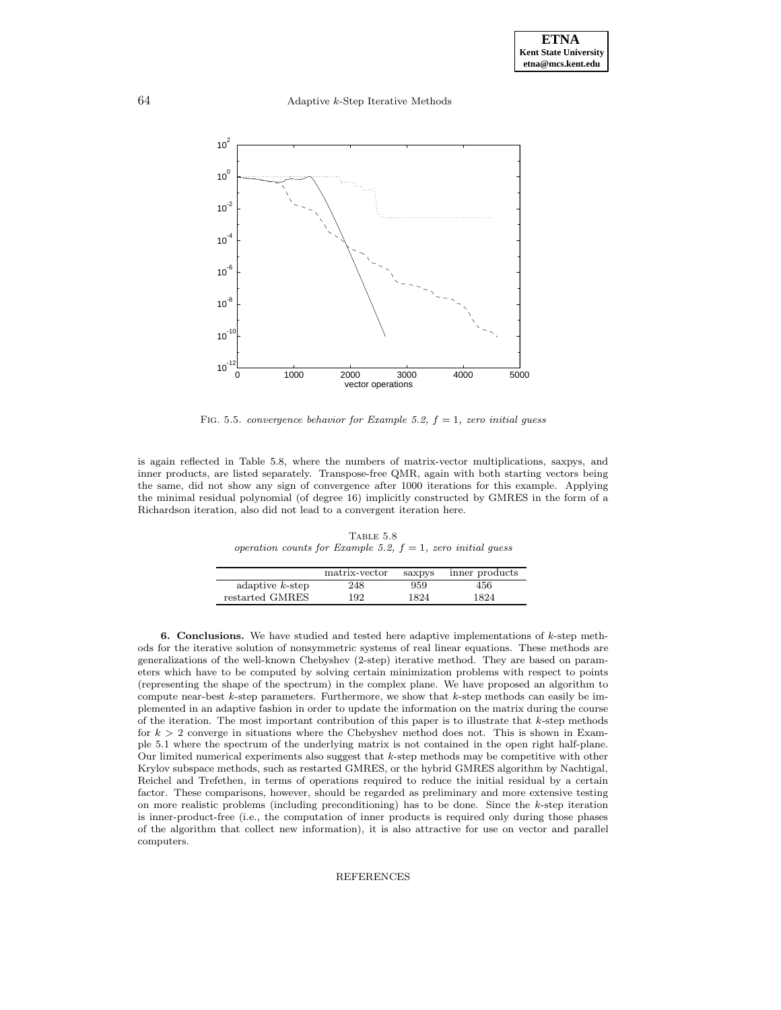64 Adaptive k-Step Iterative Methods



FIG. 5.5. convergence behavior for Example 5.2,  $f = 1$ , zero initial guess

is again reflected in Table 5.8, where the numbers of matrix-vector multiplications, saxpys, and inner products, are listed separately. Transpose-free QMR, again with both starting vectors being the same, did not show any sign of convergence after 1000 iterations for this example. Applying the minimal residual polynomial (of degree 16) implicitly constructed by GMRES in the form of a Richardson iteration, also did not lead to a convergent iteration here.

TABLE  $5.8$ operation counts for Example 5.2,  $f = 1$ , zero initial guess

|                    | matrix-vector | saxpys | inner products |
|--------------------|---------------|--------|----------------|
| adaptive $k$ -step | 248           | 959    | 456            |
| restarted GMRES    | 192           | 1824   | 1824           |

**6. Conclusions.** We have studied and tested here adaptive implementations of k-step methods for the iterative solution of nonsymmetric systems of real linear equations. These methods are generalizations of the well-known Chebyshev (2-step) iterative method. They are based on parameters which have to be computed by solving certain minimization problems with respect to points (representing the shape of the spectrum) in the complex plane. We have proposed an algorithm to compute near-best  $k$ -step parameters. Furthermore, we show that  $k$ -step methods can easily be implemented in an adaptive fashion in order to update the information on the matrix during the course of the iteration. The most important contribution of this paper is to illustrate that  $k$ -step methods for  $k > 2$  converge in situations where the Chebyshev method does not. This is shown in Example 5.1 where the spectrum of the underlying matrix is not contained in the open right half-plane. Our limited numerical experiments also suggest that k-step methods may be competitive with other Krylov subspace methods, such as restarted GMRES, or the hybrid GMRES algorithm by Nachtigal, Reichel and Trefethen, in terms of operations required to reduce the initial residual by a certain factor. These comparisons, however, should be regarded as preliminary and more extensive testing on more realistic problems (including preconditioning) has to be done. Since the  $k$ -step iteration is inner-product-free (i.e., the computation of inner products is required only during those phases of the algorithm that collect new information), it is also attractive for use on vector and parallel computers.